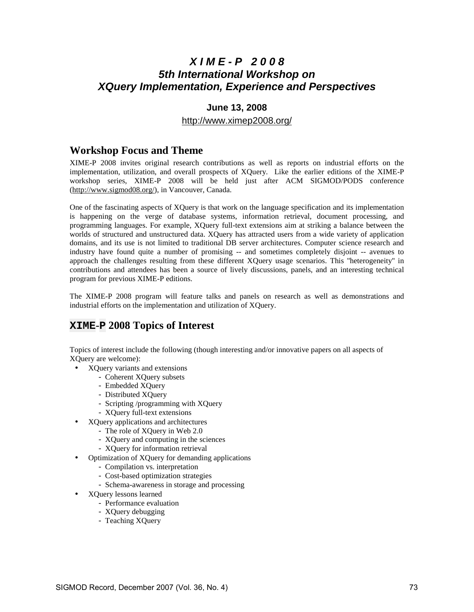## **X I M E - P 2 0 0 8 5th International Workshop on XQuery Implementation, Experience and Perspectives**

#### **June 13, 2008**

#### http://www.ximep2008.org/

#### **Workshop Focus and Theme**

XIME-P 2008 invites original research contributions as well as reports on industrial efforts on the implementation, utilization, and overall prospects of XQuery. Like the earlier editions of the XIME-P workshop series, XIME-P 2008 will be held just after ACM SIGMOD/PODS conference (http://www.sigmod08.org/), in Vancouver, Canada.

One of the fascinating aspects of XQuery is that work on the language specification and its implementation is happening on the verge of database systems, information retrieval, document processing, and programming languages. For example, XQuery full-text extensions aim at striking a balance between the worlds of structured and unstructured data. XQuery has attracted users from a wide variety of application domains, and its use is not limited to traditional DB server architectures. Computer science research and industry have found quite a number of promising -- and sometimes completely disjoint -- avenues to approach the challenges resulting from these different XQuery usage scenarios. This ''heterogeneity'' in contributions and attendees has been a source of lively discussions, panels, and an interesting technical program for previous XIME-P editions.

The XIME-P 2008 program will feature talks and panels on research as well as demonstrations and industrial efforts on the implementation and utilization of XQuery.

#### **XIME-P 2008 Topics of Interest**

Topics of interest include the following (though interesting and/or innovative papers on all aspects of XQuery are welcome):

- XQuery variants and extensions
	- Coherent XQuery subsets
		- Embedded XQuery
		- Distributed XQuery
		- Scripting /programming with XQuery
		- XQuery full-text extensions
- XQuery applications and architectures
	- The role of XQuery in Web 2.0
	- XQuery and computing in the sciences
	- XQuery for information retrieval
- Optimization of XQuery for demanding applications
	- Compilation vs. interpretation
		- Cost-based optimization strategies
		- Schema-awareness in storage and processing
- XQuery lessons learned
	- Performance evaluation
	- XQuery debugging
	- Teaching XQuery